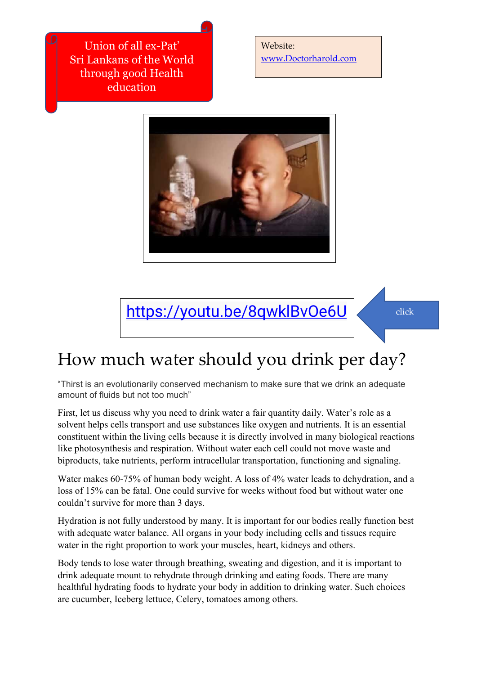Union of all ex-Pat' Sri Lankans of the World through good Health education

Website: [www.Doctorharold.com](http://www.doctorharold.com/)



<https://youtu.be/8qwklBvOe6U>

## How much water should you drink per day?

"Thirst is an evolutionarily conserved mechanism to make sure that we drink an adequate amount of fluids but not too much"

First, let us discuss why you need to drink water a fair quantity daily. Water's role as a solvent helps cells transport and use substances like oxygen and nutrients. It is an essential constituent within the living cells because it is directly involved in many biological reactions like photosynthesis and respiration. Without water each cell could not move waste and biproducts, take nutrients, perform intracellular transportation, functioning and signaling.

Water makes 60-75% of human body weight. A loss of 4% water leads to dehydration, and a loss of 15% can be fatal. One could survive for weeks without food but without water one couldn't survive for more than 3 days.

Hydration is not fully understood by many. It is important for our bodies really function best with adequate water balance. All organs in your body including cells and tissues require water in the right proportion to work your muscles, heart, kidneys and others.

Body tends to lose water through breathing, sweating and digestion, and it is important to drink adequate mount to rehydrate through drinking and eating foods. There are many healthful hydrating foods to hydrate your body in addition to drinking water. Such choices are cucumber, Iceberg lettuce, Celery, tomatoes among others.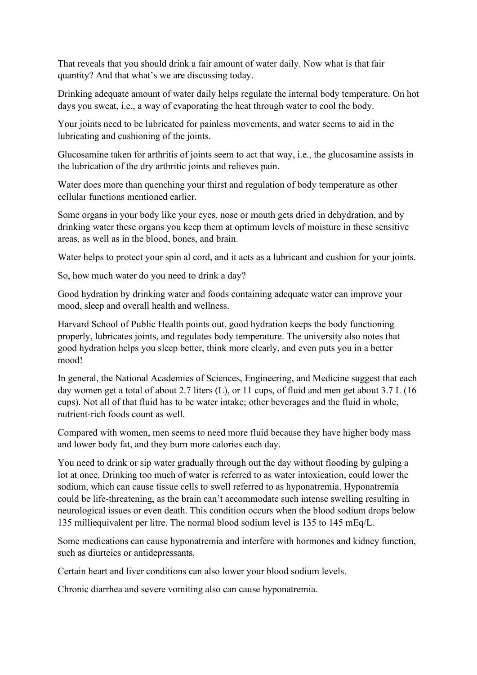That reveals that you should drink a fair amount of water daily. Now what is that fair quantity? And that what's we are discussing today.

Drinking adequate amount of water daily helps regulate the internal body temperature. On hot days you sweat, i.e., a way of evaporating the heat through water to cool the body.

Your joints need to be lubricated for painless movements, and water seems to aid in the lubricating and cushioning of the joints.

Glucosamine taken for arthritis of joints seem to act that way, i.e., the glucosamine assists in the lubrication of the dry arthritic joints and relieves pain.

Water does more than quenching your thirst and regulation of body temperature as other cellular functions mentioned earlier.

Some organs in your body like your eyes, nose or mouth gets dried in dehydration, and by drinking water these organs you keep them at optimum levels of moisture in these sensitive areas, as well as in the blood, bones, and brain.

Water helps to protect your spin al cord, and it acts as a lubricant and cushion for your joints.

So, how much water do you need to drink a day?

Good hydration by drinking water and foods containing adequate water can improve your mood, sleep and overall health and wellness.

Harvard School of Public Health points out, good hydration keeps the body functioning properly, lubricates joints, and regulates body temperature. The university also notes that good hydration helps you sleep better, think more clearly, and even puts you in a better mood!

In general, the National Academies of Sciences, Engineering, and Medicine suggest that each day women get a total of about 2.7 liters (L), or 11 cups, of fluid and men get about 3.7 L (16 cups). Not all of that fluid has to be water intake; other beverages and the fluid in whole, nutrient-rich foods count as well.

Compared with women, men seems to need more fluid because they have higher body mass and lower body fat, and they burn more calories each day.

You need to drink or sip water gradually through out the day without flooding by gulping a lot at once. Drinking too much of water is referred to as water intoxication, could lower the sodium, which can cause tissue cells to swell referred to as hyponatremia. Hyponatremia could be life-threatening, as the brain can't accommodate such intense swelling resulting in neurological issues or even death. This condition occurs when the blood sodium drops below 135 milliequivalent per litre. The normal blood sodium level is 135 to 145 mEq/L.

Some medications can cause hyponatremia and interfere with hormones and kidney function, such as diurteics or antidepressants.

Certain heart and liver conditions can also lower your blood sodium levels.

Chronic diarrhea and severe vomiting also can cause hyponatremia.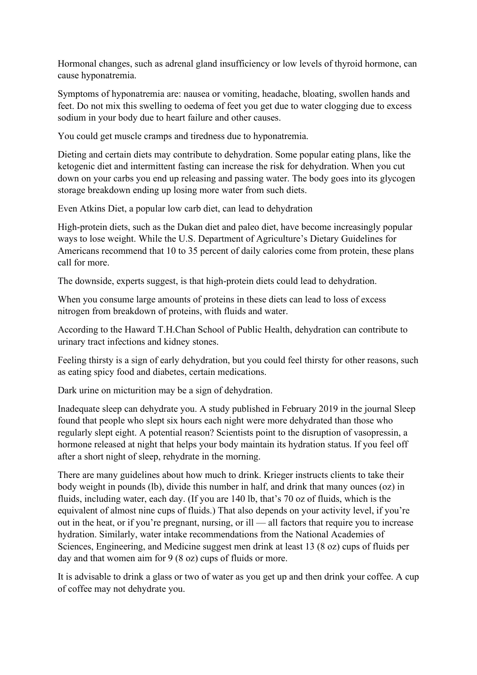Hormonal changes, such as adrenal gland insufficiency or low levels of thyroid hormone, can cause hyponatremia.

Symptoms of hyponatremia are: nausea or vomiting, headache, bloating, swollen hands and feet. Do not mix this swelling to oedema of feet you get due to water clogging due to excess sodium in your body due to heart failure and other causes.

You could get muscle cramps and tiredness due to hyponatremia.

Dieting and certain diets may contribute to dehydration. Some popular eating plans, like the ketogenic diet and intermittent fasting can increase the risk for dehydration. When you cut down on your carbs you end up releasing and passing water. The body goes into its glycogen storage breakdown ending up losing more water from such diets.

Even Atkins Diet, a popular low carb diet, can lead to dehydration

High-protein diets, such as the Dukan diet and paleo diet, have become increasingly popular ways to lose weight. While the U.S. Department of Agriculture's Dietary Guidelines for Americans recommend that 10 to 35 percent of daily calories come from protein, these plans call for more.

The downside, experts suggest, is that high-protein diets could lead to dehydration.

When you consume large amounts of proteins in these diets can lead to loss of excess nitrogen from breakdown of proteins, with fluids and water.

According to the Haward T.H.Chan School of Public Health, dehydration can contribute to urinary tract infections and kidney stones.

Feeling thirsty is a sign of early dehydration, but you could feel thirsty for other reasons, such as eating spicy food and diabetes, certain medications.

Dark urine on micturition may be a sign of dehydration.

Inadequate sleep can dehydrate you. A study published in February 2019 in the journal Sleep found that people who slept six hours each night were more dehydrated than those who regularly slept eight. A potential reason? Scientists point to the disruption of vasopressin, a hormone released at night that helps your body maintain its hydration status. If you feel off after a short night of sleep, rehydrate in the morning.

There are many guidelines about how much to drink. Krieger instructs clients to take their body weight in pounds (lb), divide this number in half, and drink that many ounces (oz) in fluids, including water, each day. (If you are 140 lb, that's 70 oz of fluids, which is the equivalent of almost nine cups of fluids.) That also depends on your activity level, if you're out in the heat, or if you're pregnant, nursing, or ill — all factors that require you to increase hydration. Similarly, water intake recommendations from the National Academies of Sciences, Engineering, and Medicine suggest men drink at least 13 (8 oz) cups of fluids per day and that women aim for 9 (8 oz) cups of fluids or more.

It is advisable to drink a glass or two of water as you get up and then drink your coffee. A cup of coffee may not dehydrate you.